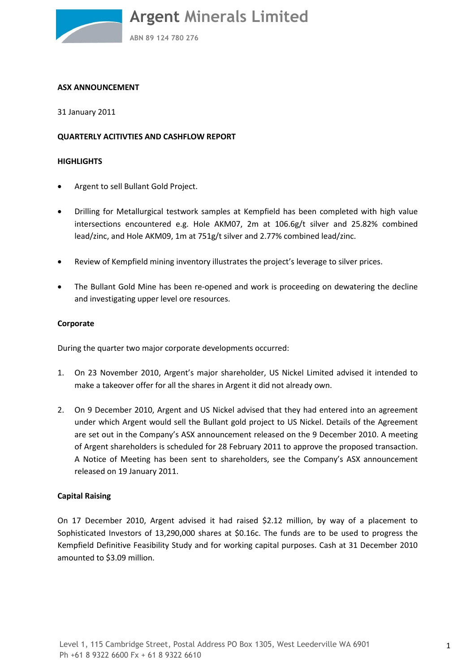

#### **ASX ANNOUNCEMENT**

31 January 2011

### **QUARTERLY ACITIVTIES AND CASHFLOW REPORT**

#### **HIGHLIGHTS**

- Argent to sell Bullant Gold Project.
- Drilling for Metallurgical testwork samples at Kempfield has been completed with high value intersections encountered e.g. Hole AKM07, 2m at 106.6g/t silver and 25.82% combined lead/zinc, and Hole AKM09, 1m at 751g/t silver and 2.77% combined lead/zinc.
- Review of Kempfield mining inventory illustrates the project's leverage to silver prices.
- The Bullant Gold Mine has been re-opened and work is proceeding on dewatering the decline and investigating upper level ore resources.

#### **Corporate**

During the quarter two major corporate developments occurred:

- 1. On 23 November 2010, Argent's major shareholder, US Nickel Limited advised it intended to make a takeover offer for all the shares in Argent it did not already own.
- 2. On 9 December 2010, Argent and US Nickel advised that they had entered into an agreement under which Argent would sell the Bullant gold project to US Nickel. Details of the Agreement are set out in the Company's ASX announcement released on the 9 December 2010. A meeting of Argent shareholders is scheduled for 28 February 2011 to approve the proposed transaction. A Notice of Meeting has been sent to shareholders, see the Company's ASX announcement released on 19 January 2011.

# **Capital Raising**

On 17 December 2010, Argent advised it had raised \$2.12 million, by way of a placement to Sophisticated Investors of 13,290,000 shares at \$0.16c. The funds are to be used to progress the Kempfield Definitive Feasibility Study and for working capital purposes. Cash at 31 December 2010 amounted to \$3.09 million.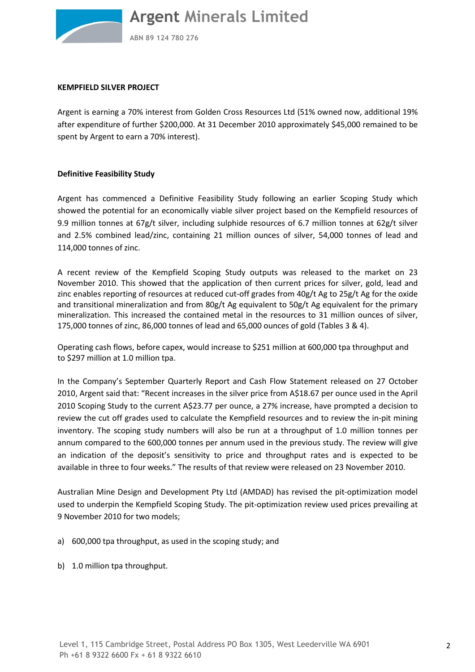

**ABN 89 124 780 276**

#### **KEMPFIELD SILVER PROJECT**

Argent is earning a 70% interest from Golden Cross Resources Ltd (51% owned now, additional 19% after expenditure of further \$200,000. At 31 December 2010 approximately \$45,000 remained to be spent by Argent to earn a 70% interest).

# **Definitive Feasibility Study**

Argent has commenced a Definitive Feasibility Study following an earlier Scoping Study which showed the potential for an economically viable silver project based on the Kempfield resources of 9.9 million tonnes at 67g/t silver, including sulphide resources of 6.7 million tonnes at 62g/t silver and 2.5% combined lead/zinc, containing 21 million ounces of silver, 54,000 tonnes of lead and 114,000 tonnes of zinc.

A recent review of the Kempfield Scoping Study outputs was released to the market on 23 November 2010. This showed that the application of then current prices for silver, gold, lead and zinc enables reporting of resources at reduced cut-off grades from 40g/t Ag to 25g/t Ag for the oxide and transitional mineralization and from 80g/t Ag equivalent to 50g/t Ag equivalent for the primary mineralization. This increased the contained metal in the resources to 31 million ounces of silver, 175,000 tonnes of zinc, 86,000 tonnes of lead and 65,000 ounces of gold (Tables 3 & 4).

Operating cash flows, before capex, would increase to \$251 million at 600,000 tpa throughput and to \$297 million at 1.0 million tpa.

In the Company's September Quarterly Report and Cash Flow Statement released on 27 October 2010, Argent said that: "Recent increases in the silver price from A\$18.67 per ounce used in the April 2010 Scoping Study to the current A\$23.77 per ounce, a 27% increase, have prompted a decision to review the cut off grades used to calculate the Kempfield resources and to review the in-pit mining inventory. The scoping study numbers will also be run at a throughput of 1.0 million tonnes per annum compared to the 600,000 tonnes per annum used in the previous study. The review will give an indication of the deposit's sensitivity to price and throughput rates and is expected to be available in three to four weeks." The results of that review were released on 23 November 2010.

Australian Mine Design and Development Pty Ltd (AMDAD) has revised the pit-optimization model used to underpin the Kempfield Scoping Study. The pit-optimization review used prices prevailing at 9 November 2010 for two models;

- a) 600,000 tpa throughput, as used in the scoping study; and
- b) 1.0 million tpa throughput.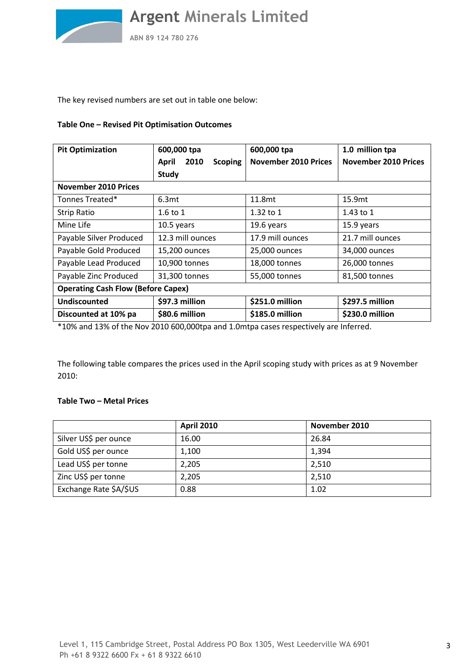

**ABN 89 124 780 276**

The key revised numbers are set out in table one below:

# **Table One – Revised Pit Optimisation Outcomes**

| <b>Pit Optimization</b>                   | 600,000 tpa                            | 600,000 tpa                 | 1.0 million tpa             |  |
|-------------------------------------------|----------------------------------------|-----------------------------|-----------------------------|--|
|                                           | 2010<br><b>April</b><br><b>Scoping</b> | <b>November 2010 Prices</b> | <b>November 2010 Prices</b> |  |
|                                           | <b>Study</b>                           |                             |                             |  |
| <b>November 2010 Prices</b>               |                                        |                             |                             |  |
| Tonnes Treated*                           | 6.3 <sub>mt</sub>                      | 11.8mt                      | 15.9mt                      |  |
| <b>Strip Ratio</b>                        | $1.6$ to $1$                           | $1.32$ to $1$               | $1.43$ to $1$               |  |
| Mine Life                                 | 10.5 years                             | 19.6 years                  | 15.9 years                  |  |
| Payable Silver Produced                   | 12.3 mill ounces                       | 17.9 mill ounces            | 21.7 mill ounces            |  |
| Payable Gold Produced                     | 15,200 ounces                          | 25,000 ounces               | 34,000 ounces               |  |
| Payable Lead Produced                     | 10,900 tonnes                          | 18,000 tonnes               | 26,000 tonnes               |  |
| Payable Zinc Produced                     | 31,300 tonnes                          | 55,000 tonnes               | 81,500 tonnes               |  |
| <b>Operating Cash Flow (Before Capex)</b> |                                        |                             |                             |  |
| Undiscounted                              | \$97.3 million                         | \$251.0 million             | \$297.5 million             |  |
| Discounted at 10% pa                      | \$80.6 million                         | \$185.0 million             | \$230.0 million             |  |

\*10% and 13% of the Nov 2010 600,000tpa and 1.0mtpa cases respectively are Inferred.

The following table compares the prices used in the April scoping study with prices as at 9 November 2010:

# **Table Two – Metal Prices**

|                        | <b>April 2010</b> | November 2010 |
|------------------------|-------------------|---------------|
| Silver US\$ per ounce  | 16.00             | 26.84         |
| Gold US\$ per ounce    | 1,100             | 1,394         |
| Lead US\$ per tonne    | 2,205             | 2,510         |
| Zinc US\$ per tonne    | 2,205             | 2,510         |
| Exchange Rate \$A/\$US | 0.88              | 1.02          |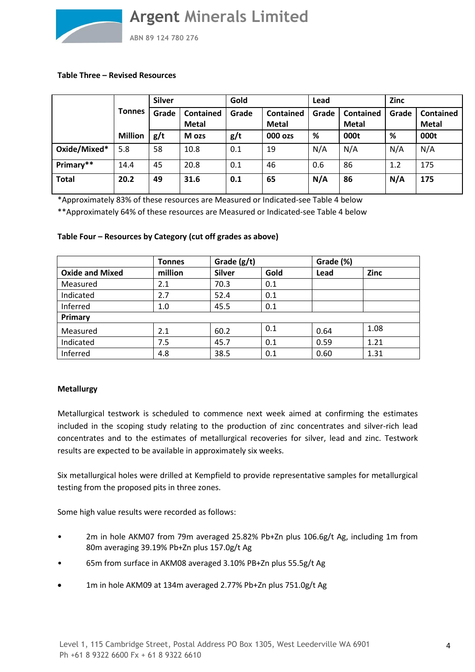

**ABN 89 124 780 276**

### **Table Three – Revised Resources**

|              |                | <b>Silver</b> |                                  | Gold  |                                  | Lead  |                                  | <b>Zinc</b> |                                  |
|--------------|----------------|---------------|----------------------------------|-------|----------------------------------|-------|----------------------------------|-------------|----------------------------------|
|              | <b>Tonnes</b>  | Grade         | <b>Contained</b><br><b>Metal</b> | Grade | <b>Contained</b><br><b>Metal</b> | Grade | <b>Contained</b><br><b>Metal</b> | Grade       | <b>Contained</b><br><b>Metal</b> |
|              | <b>Million</b> | g/t           | M ozs                            | g/t   | 000 ozs                          | %     | 000t                             | %           | 000t                             |
| Oxide/Mixed* | 5.8            | 58            | 10.8                             | 0.1   | 19                               | N/A   | N/A                              | N/A         | N/A                              |
| Primary**    | 14.4           | 45            | 20.8                             | 0.1   | 46                               | 0.6   | 86                               | 1.2         | 175                              |
| <b>Total</b> | 20.2           | 49            | 31.6                             | 0.1   | 65                               | N/A   | 86                               | N/A         | 175                              |

\*Approximately 83% of these resources are Measured or Indicated-see Table 4 below

\*\*Approximately 64% of these resources are Measured or Indicated-see Table 4 below

# **Table Four – Resources by Category (cut off grades as above)**

|                        | <b>Tonnes</b> | Grade $(g/t)$ |      | Grade (%) |      |
|------------------------|---------------|---------------|------|-----------|------|
| <b>Oxide and Mixed</b> | million       | <b>Silver</b> | Gold | Lead      | Zinc |
| Measured               | 2.1           | 70.3          | 0.1  |           |      |
| Indicated              | 2.7           | 52.4          | 0.1  |           |      |
| Inferred               | 1.0           | 45.5          | 0.1  |           |      |
| Primary                |               |               |      |           |      |
| Measured               | 2.1           | 60.2          | 0.1  | 0.64      | 1.08 |
| Indicated              | 7.5           | 45.7          | 0.1  | 0.59      | 1.21 |
| Inferred               | 4.8           | 38.5          | 0.1  | 0.60      | 1.31 |

# **Metallurgy**

Metallurgical testwork is scheduled to commence next week aimed at confirming the estimates included in the scoping study relating to the production of zinc concentrates and silver-rich lead concentrates and to the estimates of metallurgical recoveries for silver, lead and zinc. Testwork results are expected to be available in approximately six weeks.

Six metallurgical holes were drilled at Kempfield to provide representative samples for metallurgical testing from the proposed pits in three zones.

Some high value results were recorded as follows:

- 2m in hole AKM07 from 79m averaged 25.82% Pb+Zn plus 106.6g/t Ag, including 1m from 80m averaging 39.19% Pb+Zn plus 157.0g/t Ag
- 65m from surface in AKM08 averaged 3.10% PB+Zn plus 55.5g/t Ag
- 1m in hole AKM09 at 134m averaged 2.77% Pb+Zn plus 751.0g/t Ag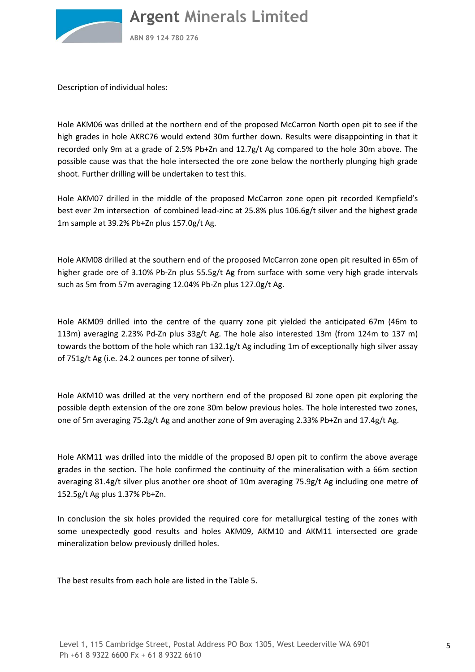

**ABN 89 124 780 276**

Description of individual holes:

Hole AKM06 was drilled at the northern end of the proposed McCarron North open pit to see if the high grades in hole AKRC76 would extend 30m further down. Results were disappointing in that it recorded only 9m at a grade of 2.5% Pb+Zn and 12.7g/t Ag compared to the hole 30m above. The possible cause was that the hole intersected the ore zone below the northerly plunging high grade shoot. Further drilling will be undertaken to test this.

Hole AKM07 drilled in the middle of the proposed McCarron zone open pit recorded Kempfield's best ever 2m intersection of combined lead-zinc at 25.8% plus 106.6g/t silver and the highest grade 1m sample at 39.2% Pb+Zn plus 157.0g/t Ag.

Hole AKM08 drilled at the southern end of the proposed McCarron zone open pit resulted in 65m of higher grade ore of 3.10% Pb-Zn plus 55.5g/t Ag from surface with some very high grade intervals such as 5m from 57m averaging 12.04% Pb-Zn plus 127.0g/t Ag.

Hole AKM09 drilled into the centre of the quarry zone pit yielded the anticipated 67m (46m to 113m) averaging 2.23% Pd-Zn plus 33g/t Ag. The hole also interested 13m (from 124m to 137 m) towards the bottom of the hole which ran 132.1g/t Ag including 1m of exceptionally high silver assay of 751g/t Ag (i.e. 24.2 ounces per tonne of silver).

Hole AKM10 was drilled at the very northern end of the proposed BJ zone open pit exploring the possible depth extension of the ore zone 30m below previous holes. The hole interested two zones, one of 5m averaging 75.2g/t Ag and another zone of 9m averaging 2.33% Pb+Zn and 17.4g/t Ag.

Hole AKM11 was drilled into the middle of the proposed BJ open pit to confirm the above average grades in the section. The hole confirmed the continuity of the mineralisation with a 66m section averaging 81.4g/t silver plus another ore shoot of 10m averaging 75.9g/t Ag including one metre of 152.5g/t Ag plus 1.37% Pb+Zn.

In conclusion the six holes provided the required core for metallurgical testing of the zones with some unexpectedly good results and holes AKM09, AKM10 and AKM11 intersected ore grade mineralization below previously drilled holes.

The best results from each hole are listed in the Table 5.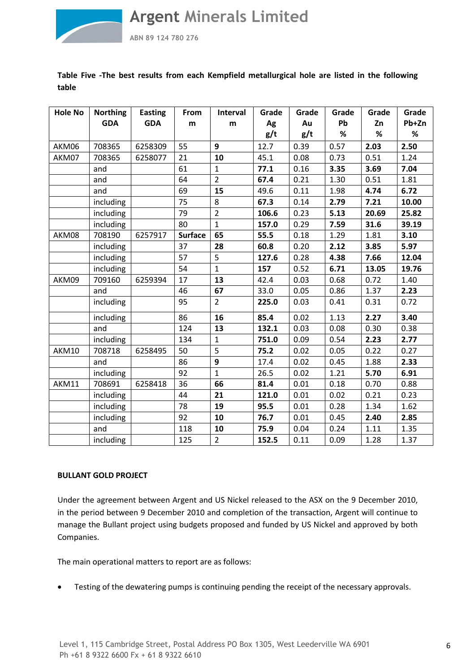

**ABN 89 124 780 276**

# **Table Five -The best results from each Kempfield metallurgical hole are listed in the following table**

| <b>Hole No</b> | <b>Northing</b> | <b>Easting</b> | From           | Interval         | Grade | Grade | Grade | Grade | Grade |
|----------------|-----------------|----------------|----------------|------------------|-------|-------|-------|-------|-------|
|                | <b>GDA</b>      | <b>GDA</b>     | m              | m                | Ag    | Au    | Pb    | Zn    | Pb+Zn |
|                |                 |                |                |                  | g/t   | g/t   | $\%$  | %     | $\%$  |
| AKM06          | 708365          | 6258309        | 55             | 9                | 12.7  | 0.39  | 0.57  | 2.03  | 2.50  |
| AKM07          | 708365          | 6258077        | 21             | 10               | 45.1  | 0.08  | 0.73  | 0.51  | 1.24  |
|                | and             |                | 61             | $\mathbf{1}$     | 77.1  | 0.16  | 3.35  | 3.69  | 7.04  |
|                | and             |                | 64             | $\overline{2}$   | 67.4  | 0.21  | 1.30  | 0.51  | 1.81  |
|                | and             |                | 69             | 15               | 49.6  | 0.11  | 1.98  | 4.74  | 6.72  |
|                | including       |                | 75             | 8                | 67.3  | 0.14  | 2.79  | 7.21  | 10.00 |
|                | including       |                | 79             | $\overline{2}$   | 106.6 | 0.23  | 5.13  | 20.69 | 25.82 |
|                | including       |                | 80             | $\mathbf{1}$     | 157.0 | 0.29  | 7.59  | 31.6  | 39.19 |
| AKM08          | 708190          | 6257917        | <b>Surface</b> | 65               | 55.5  | 0.18  | 1.29  | 1.81  | 3.10  |
|                | including       |                | 37             | 28               | 60.8  | 0.20  | 2.12  | 3.85  | 5.97  |
|                | including       |                | 57             | 5                | 127.6 | 0.28  | 4.38  | 7.66  | 12.04 |
|                | including       |                | 54             | $\mathbf{1}$     | 157   | 0.52  | 6.71  | 13.05 | 19.76 |
| AKM09          | 709160          | 6259394        | 17             | 13               | 42.4  | 0.03  | 0.68  | 0.72  | 1.40  |
|                | and             |                | 46             | 67               | 33.0  | 0.05  | 0.86  | 1.37  | 2.23  |
|                | including       |                | 95             | $\overline{2}$   | 225.0 | 0.03  | 0.41  | 0.31  | 0.72  |
|                | including       |                | 86             | 16               | 85.4  | 0.02  | 1.13  | 2.27  | 3.40  |
|                | and             |                | 124            | 13               | 132.1 | 0.03  | 0.08  | 0.30  | 0.38  |
|                | including       |                | 134            | $\mathbf{1}$     | 751.0 | 0.09  | 0.54  | 2.23  | 2.77  |
| AKM10          | 708718          | 6258495        | 50             | 5                | 75.2  | 0.02  | 0.05  | 0.22  | 0.27  |
|                | and             |                | 86             | $\boldsymbol{9}$ | 17.4  | 0.02  | 0.45  | 1.88  | 2.33  |
|                | including       |                | 92             | $\mathbf{1}$     | 26.5  | 0.02  | 1.21  | 5.70  | 6.91  |
| AKM11          | 708691          | 6258418        | 36             | 66               | 81.4  | 0.01  | 0.18  | 0.70  | 0.88  |
|                | including       |                | 44             | 21               | 121.0 | 0.01  | 0.02  | 0.21  | 0.23  |
|                | including       |                | 78             | 19               | 95.5  | 0.01  | 0.28  | 1.34  | 1.62  |
|                | including       |                | 92             | 10               | 76.7  | 0.01  | 0.45  | 2.40  | 2.85  |
|                | and             |                | 118            | 10               | 75.9  | 0.04  | 0.24  | 1.11  | 1.35  |
|                | including       |                | 125            | $\overline{2}$   | 152.5 | 0.11  | 0.09  | 1.28  | 1.37  |

# **BULLANT GOLD PROJECT**

Under the agreement between Argent and US Nickel released to the ASX on the 9 December 2010, in the period between 9 December 2010 and completion of the transaction, Argent will continue to manage the Bullant project using budgets proposed and funded by US Nickel and approved by both Companies.

The main operational matters to report are as follows:

• Testing of the dewatering pumps is continuing pending the receipt of the necessary approvals.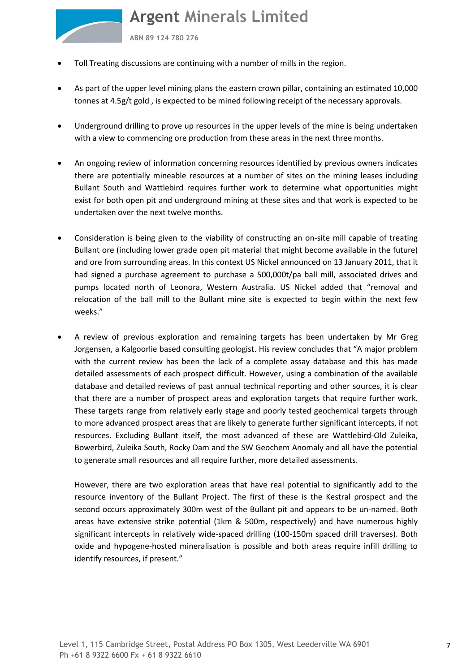**ABN 89 124 780 276**

- Toll Treating discussions are continuing with a number of mills in the region.
- As part of the upper level mining plans the eastern crown pillar, containing an estimated 10,000 tonnes at 4.5g/t gold , is expected to be mined following receipt of the necessary approvals.
- Underground drilling to prove up resources in the upper levels of the mine is being undertaken with a view to commencing ore production from these areas in the next three months.
- An ongoing review of information concerning resources identified by previous owners indicates there are potentially mineable resources at a number of sites on the mining leases including Bullant South and Wattlebird requires further work to determine what opportunities might exist for both open pit and underground mining at these sites and that work is expected to be undertaken over the next twelve months.
- Consideration is being given to the viability of constructing an on-site mill capable of treating Bullant ore (including lower grade open pit material that might become available in the future) and ore from surrounding areas. In this context US Nickel announced on 13 January 2011, that it had signed a purchase agreement to purchase a 500,000t/pa ball mill, associated drives and pumps located north of Leonora, Western Australia. US Nickel added that "removal and relocation of the ball mill to the Bullant mine site is expected to begin within the next few weeks."
- A review of previous exploration and remaining targets has been undertaken by Mr Greg Jorgensen, a Kalgoorlie based consulting geologist. His review concludes that "A major problem with the current review has been the lack of a complete assay database and this has made detailed assessments of each prospect difficult. However, using a combination of the available database and detailed reviews of past annual technical reporting and other sources, it is clear that there are a number of prospect areas and exploration targets that require further work. These targets range from relatively early stage and poorly tested geochemical targets through to more advanced prospect areas that are likely to generate further significant intercepts, if not resources. Excluding Bullant itself, the most advanced of these are Wattlebird-Old Zuleika, Bowerbird, Zuleika South, Rocky Dam and the SW Geochem Anomaly and all have the potential to generate small resources and all require further, more detailed assessments.

However, there are two exploration areas that have real potential to significantly add to the resource inventory of the Bullant Project. The first of these is the Kestral prospect and the second occurs approximately 300m west of the Bullant pit and appears to be un-named. Both areas have extensive strike potential (1km & 500m, respectively) and have numerous highly significant intercepts in relatively wide-spaced drilling (100-150m spaced drill traverses). Both oxide and hypogene-hosted mineralisation is possible and both areas require infill drilling to identify resources, if present."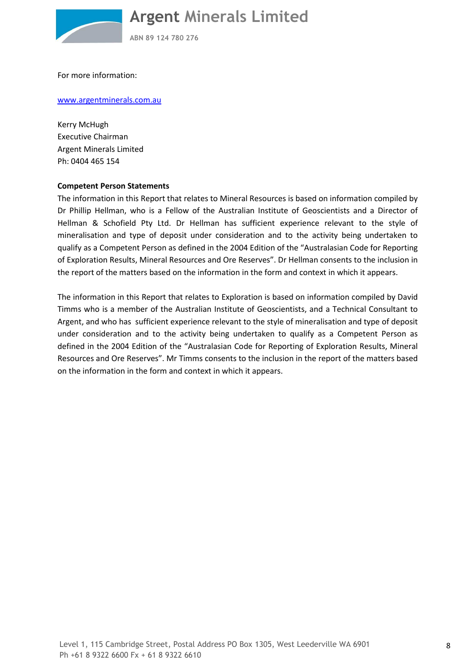

**ABN 89 124 780 276**

For more information:

#### www.argentminerals.com.au

Kerry McHugh Executive Chairman Argent Minerals Limited Ph: 0404 465 154

# **Competent Person Statements**

The information in this Report that relates to Mineral Resources is based on information compiled by Dr Phillip Hellman, who is a Fellow of the Australian Institute of Geoscientists and a Director of Hellman & Schofield Pty Ltd. Dr Hellman has sufficient experience relevant to the style of mineralisation and type of deposit under consideration and to the activity being undertaken to qualify as a Competent Person as defined in the 2004 Edition of the "Australasian Code for Reporting of Exploration Results, Mineral Resources and Ore Reserves". Dr Hellman consents to the inclusion in the report of the matters based on the information in the form and context in which it appears.

The information in this Report that relates to Exploration is based on information compiled by David Timms who is a member of the Australian Institute of Geoscientists, and a Technical Consultant to Argent, and who has sufficient experience relevant to the style of mineralisation and type of deposit under consideration and to the activity being undertaken to qualify as a Competent Person as defined in the 2004 Edition of the "Australasian Code for Reporting of Exploration Results, Mineral Resources and Ore Reserves". Mr Timms consents to the inclusion in the report of the matters based on the information in the form and context in which it appears.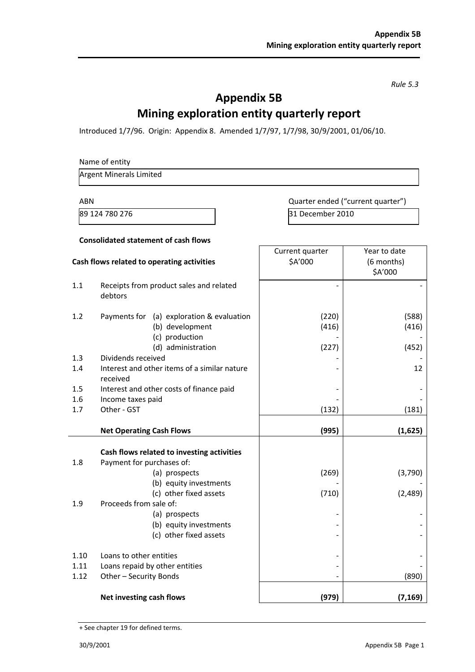*Rule 5.3* 

# **Appendix 5B Mining exploration entity quarterly report**

Introduced 1/7/96. Origin: Appendix 8. Amended 1/7/97, 1/7/98, 30/9/2001, 01/06/10.

#### Name of entity

Argent Minerals Limited

**Consolidated statement of cash flows** 

ABN ABN CURRENT CONSUMING A CURRENT CONTROLLER AND A CURRENT CURRENT OUTLET A LOCAL CONTROLLER AND A LOCAL CONTROLLER AND A LOCAL CONTROLLER AND A LOCAL CONTROLLER AND A LOCAL CONTROLLER AND A LOCAL CONTROLLER AND A LOCAL 89 124 780 276 31 December 2010

| Cash flows related to operating activities                                            | Current quarter<br>\$A'000 | Year to date<br>(6 months)<br>\$A'000 |
|---------------------------------------------------------------------------------------|----------------------------|---------------------------------------|
| Receipts from product sales and related<br>1.1<br>debtors                             |                            |                                       |
| 1.2<br>Payments for (a) exploration & evaluation<br>(b) development<br>(c) production | (220)<br>(416)             | (588)<br>(416)                        |
| (d) administration<br>Dividends received                                              | (227)                      | (452)                                 |
| 1.3<br>Interest and other items of a similar nature<br>1.4<br>received                |                            | 12                                    |
| 1.5<br>Interest and other costs of finance paid                                       |                            |                                       |
| 1.6<br>Income taxes paid                                                              |                            |                                       |
| 1.7<br>Other - GST                                                                    | (132)                      | (181)                                 |
| <b>Net Operating Cash Flows</b>                                                       | (995)                      | (1,625)                               |
| Cash flows related to investing activities                                            |                            |                                       |
| Payment for purchases of:<br>1.8                                                      |                            |                                       |
| (a) prospects                                                                         | (269)                      | (3,790)                               |
| (b) equity investments                                                                |                            |                                       |
| (c) other fixed assets<br>Proceeds from sale of:<br>1.9                               | (710)                      | (2,489)                               |
| (a) prospects                                                                         |                            |                                       |
| (b) equity investments                                                                |                            |                                       |
| (c) other fixed assets                                                                |                            |                                       |
| 1.10<br>Loans to other entities                                                       |                            |                                       |
| 1.11<br>Loans repaid by other entities                                                |                            |                                       |
| Other - Security Bonds<br>1.12                                                        |                            | (890)                                 |
| Net investing cash flows                                                              | (979)                      | (7, 169)                              |

<sup>+</sup> See chapter 19 for defined terms.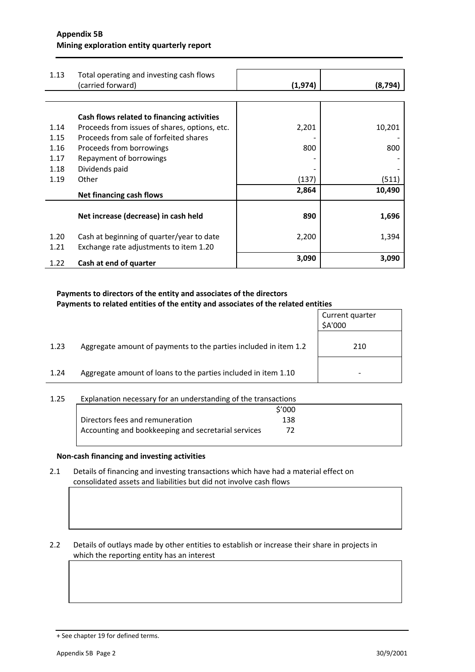| 1.13 | Total operating and investing cash flows      |          |         |
|------|-----------------------------------------------|----------|---------|
|      | (carried forward)                             | (1, 974) | (8,794) |
|      |                                               |          |         |
|      |                                               |          |         |
|      | Cash flows related to financing activities    |          |         |
| 1.14 | Proceeds from issues of shares, options, etc. | 2,201    | 10,201  |
| 1.15 | Proceeds from sale of forfeited shares        |          |         |
| 1.16 | Proceeds from borrowings                      | 800      | 800     |
| 1.17 | Repayment of borrowings                       |          |         |
| 1.18 | Dividends paid                                |          |         |
| 1.19 | Other                                         | (137)    | (511)   |
|      | <b>Net financing cash flows</b>               | 2,864    | 10,490  |
|      |                                               |          |         |
|      | Net increase (decrease) in cash held          | 890      | 1,696   |
|      |                                               |          |         |
| 1.20 | Cash at beginning of quarter/year to date     | 2,200    | 1,394   |
|      |                                               |          |         |
| 1.21 | Exchange rate adjustments to item 1.20        |          |         |
| 1.22 | Cash at end of quarter                        | 3,090    | 3,090   |

### **Payments to directors of the entity and associates of the directors Payments to related entities of the entity and associates of the related entities**

|      |                                                                  | Current quarter<br>\$A'000 |
|------|------------------------------------------------------------------|----------------------------|
| 1.23 | Aggregate amount of payments to the parties included in item 1.2 | 210                        |
| 1.24 | Aggregate amount of loans to the parties included in item 1.10   |                            |

# 1.25 Explanation necessary for an understanding of the transactions

|                                                     | \$'000 |
|-----------------------------------------------------|--------|
| Directors fees and remuneration                     | 138    |
| Accounting and bookkeeping and secretarial services |        |

# **Non-cash financing and investing activities**

2.1 Details of financing and investing transactions which have had a material effect on consolidated assets and liabilities but did not involve cash flows

2.2 Details of outlays made by other entities to establish or increase their share in projects in which the reporting entity has an interest

<sup>+</sup> See chapter 19 for defined terms.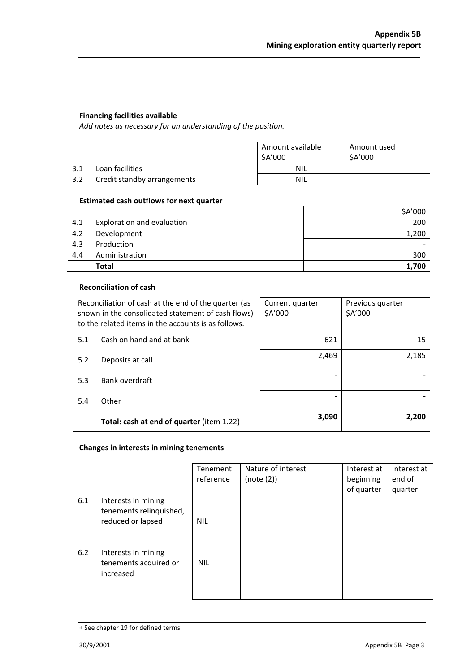# **Financing facilities available**

*Add notes as necessary for an understanding of the position.* 

|     |                             | Amount available<br>\$A'000 | Amount used<br>\$A'000 |
|-----|-----------------------------|-----------------------------|------------------------|
| 3.1 | Loan facilities             | <b>NIL</b>                  |                        |
| 3.2 | Credit standby arrangements | <b>NIL</b>                  |                        |

### **Estimated cash outflows for next quarter**

|     | <b>Total</b>               | 1,700   |
|-----|----------------------------|---------|
| 4.4 | Administration             | 300     |
| 4.3 | Production                 |         |
| 4.2 | Development                | 1,200   |
| 4.1 | Exploration and evaluation | 200     |
|     |                            | \$A'000 |

# **Reconciliation of cash**

|     | Reconciliation of cash at the end of the quarter (as<br>shown in the consolidated statement of cash flows)<br>to the related items in the accounts is as follows. | Current quarter<br>\$A'000 | Previous quarter<br>\$A'000 |
|-----|-------------------------------------------------------------------------------------------------------------------------------------------------------------------|----------------------------|-----------------------------|
| 5.1 | Cash on hand and at bank                                                                                                                                          | 621                        | 15                          |
| 5.2 | Deposits at call                                                                                                                                                  | 2,469                      | 2,185                       |
| 5.3 | Bank overdraft                                                                                                                                                    |                            |                             |
| 5.4 | Other                                                                                                                                                             |                            |                             |
|     | Total: cash at end of quarter (item 1.22)                                                                                                                         | 3,090                      | 2,200                       |

# **Changes in interests in mining tenements**

|     |                                                                     | Tenement<br>reference | Nature of interest<br>(note (2)) | Interest at<br>beginning<br>of quarter | Interest at<br>end of<br>quarter |
|-----|---------------------------------------------------------------------|-----------------------|----------------------------------|----------------------------------------|----------------------------------|
| 6.1 | Interests in mining<br>tenements relinquished,<br>reduced or lapsed | <b>NIL</b>            |                                  |                                        |                                  |
| 6.2 | Interests in mining<br>tenements acquired or<br>increased           | <b>NIL</b>            |                                  |                                        |                                  |

<sup>+</sup> See chapter 19 for defined terms.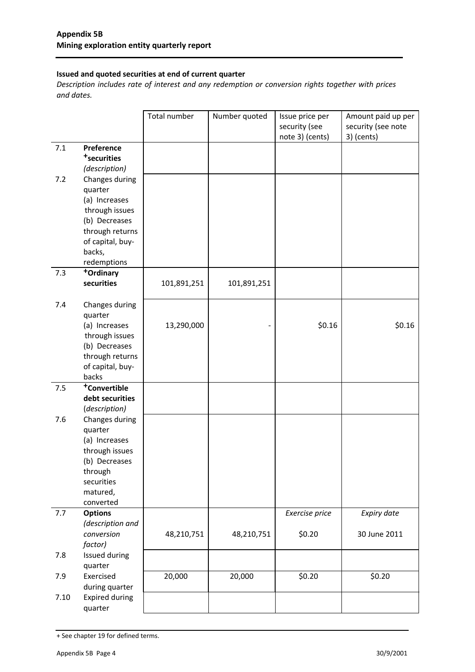# **Issued and quoted securities at end of current quarter**

*Description includes rate of interest and any redemption or conversion rights together with prices and dates.* 

|      |                                       | Total number | Number quoted | Issue price per<br>security (see | Amount paid up per<br>security (see note |
|------|---------------------------------------|--------------|---------------|----------------------------------|------------------------------------------|
|      |                                       |              |               | note 3) (cents)                  | 3) (cents)                               |
| 7.1  | Preference<br><sup>+</sup> securities |              |               |                                  |                                          |
|      | (description)                         |              |               |                                  |                                          |
| 7.2  | Changes during                        |              |               |                                  |                                          |
|      | quarter                               |              |               |                                  |                                          |
|      | (a) Increases                         |              |               |                                  |                                          |
|      | through issues                        |              |               |                                  |                                          |
|      | (b) Decreases                         |              |               |                                  |                                          |
|      | through returns                       |              |               |                                  |                                          |
|      | of capital, buy-                      |              |               |                                  |                                          |
|      | backs,                                |              |               |                                  |                                          |
|      | redemptions                           |              |               |                                  |                                          |
| 7.3  | +Ordinary<br>securities               | 101,891,251  | 101,891,251   |                                  |                                          |
|      |                                       |              |               |                                  |                                          |
| 7.4  | Changes during<br>quarter             |              |               |                                  |                                          |
|      | (a) Increases                         | 13,290,000   |               | \$0.16                           | \$0.16                                   |
|      | through issues                        |              |               |                                  |                                          |
|      | (b) Decreases                         |              |               |                                  |                                          |
|      | through returns                       |              |               |                                  |                                          |
|      | of capital, buy-                      |              |               |                                  |                                          |
|      | backs                                 |              |               |                                  |                                          |
| 7.5  | +Convertible                          |              |               |                                  |                                          |
|      | debt securities<br>(description)      |              |               |                                  |                                          |
| 7.6  | Changes during                        |              |               |                                  |                                          |
|      | quarter                               |              |               |                                  |                                          |
|      | (a) Increases                         |              |               |                                  |                                          |
|      | through issues                        |              |               |                                  |                                          |
|      | (b) Decreases                         |              |               |                                  |                                          |
|      | through                               |              |               |                                  |                                          |
|      | securities                            |              |               |                                  |                                          |
|      | matured,<br>converted                 |              |               |                                  |                                          |
| 7.7  | <b>Options</b>                        |              |               | Exercise price                   | Expiry date                              |
|      | (description and                      |              |               |                                  |                                          |
|      | conversion                            | 48,210,751   | 48,210,751    | \$0.20                           | 30 June 2011                             |
|      | factor)                               |              |               |                                  |                                          |
| 7.8  | Issued during<br>quarter              |              |               |                                  |                                          |
| 7.9  | Exercised                             | 20,000       | 20,000        | \$0.20                           | \$0.20                                   |
|      | during quarter                        |              |               |                                  |                                          |
| 7.10 | <b>Expired during</b>                 |              |               |                                  |                                          |
|      | quarter                               |              |               |                                  |                                          |

<sup>+</sup> See chapter 19 for defined terms.